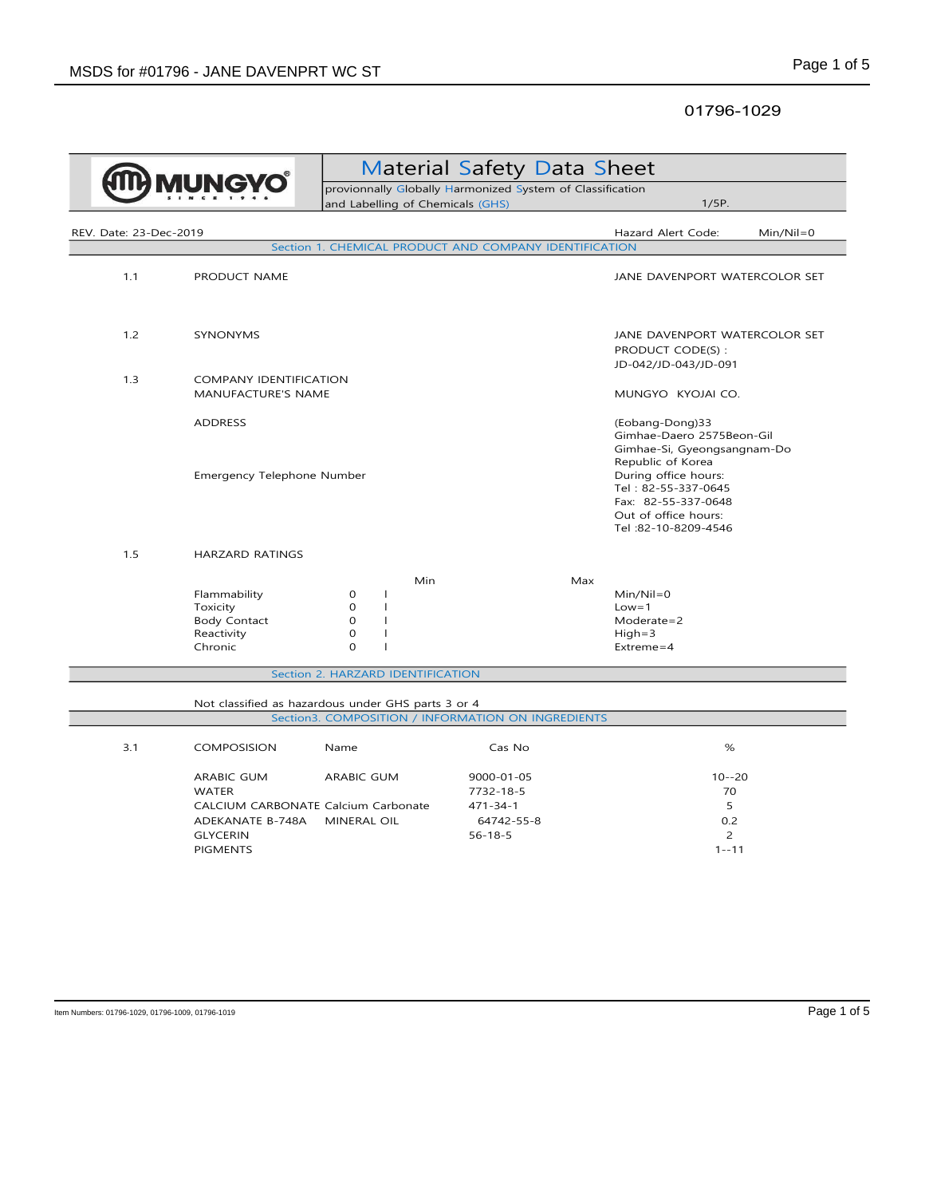## 01796-1029

| <b>VIUNGY</b>          |                                                                          | <b>Material Safety Data Sheet</b><br>provionnally Globally Harmonized System of Classification                                       |                                                        |                                                                                                                    |               |
|------------------------|--------------------------------------------------------------------------|--------------------------------------------------------------------------------------------------------------------------------------|--------------------------------------------------------|--------------------------------------------------------------------------------------------------------------------|---------------|
|                        |                                                                          | and Labelling of Chemicals (GHS)                                                                                                     |                                                        | 1/5P.                                                                                                              |               |
|                        |                                                                          |                                                                                                                                      |                                                        |                                                                                                                    |               |
| REV. Date: 23-Dec-2019 |                                                                          |                                                                                                                                      | Section 1. CHEMICAL PRODUCT AND COMPANY IDENTIFICATION | Hazard Alert Code:                                                                                                 | $Min/Nil = 0$ |
|                        |                                                                          |                                                                                                                                      |                                                        |                                                                                                                    |               |
| 1.1                    | PRODUCT NAME                                                             |                                                                                                                                      |                                                        | JANE DAVENPORT WATERCOLOR SET                                                                                      |               |
| 1.2                    | SYNONYMS                                                                 |                                                                                                                                      |                                                        | JANE DAVENPORT WATERCOLOR SET<br>PRODUCT CODE(S):<br>JD-042/JD-043/JD-091                                          |               |
| 1.3                    | COMPANY IDENTIFICATION<br>MANUFACTURE'S NAME                             |                                                                                                                                      |                                                        | MUNGYO KYOJAI CO.                                                                                                  |               |
|                        | <b>ADDRESS</b>                                                           |                                                                                                                                      |                                                        | (Eobang-Dong)33<br>Gimhae-Daero 2575Beon-Gil<br>Gimhae-Si, Gyeongsangnam-Do<br>Republic of Korea                   |               |
|                        | Emergency Telephone Number                                               |                                                                                                                                      |                                                        | During office hours:<br>Tel: 82-55-337-0645<br>Fax: 82-55-337-0648<br>Out of office hours:<br>Tel: 82-10-8209-4546 |               |
| 1.5                    | <b>HARZARD RATINGS</b>                                                   |                                                                                                                                      |                                                        |                                                                                                                    |               |
|                        | Flammability<br>Toxicity<br><b>Body Contact</b><br>Reactivity<br>Chronic | Min<br>$\mathbf{O}$<br>T<br>$\Omega$<br>$\mathbf{I}$<br>$\mathbf 0$<br>$\mathbf{I}$<br>$\mathbf{O}$<br>T<br>$\Omega$<br>$\mathbf{I}$ | Max                                                    | $Min/Nil = 0$<br>$Low = 1$<br>$Modernate = 2$<br>$High=3$<br>$Extreme = 4$                                         |               |
|                        |                                                                          | Section 2. HARZARD IDENTIFICATION                                                                                                    |                                                        |                                                                                                                    |               |
|                        | Not classified as hazardous under GHS parts 3 or 4                       |                                                                                                                                      | Section3. COMPOSITION / INFORMATION ON INGREDIENTS     |                                                                                                                    |               |
| 3.1                    | <b>COMPOSISION</b>                                                       | Name                                                                                                                                 | Cas No                                                 | %                                                                                                                  |               |
|                        | ARABIC GUM<br><b>WATER</b>                                               | ARABIC GUM                                                                                                                           | 9000-01-05<br>7732-18-5                                | $10 - -20$<br>70                                                                                                   |               |
|                        | CALCIUM CARBONATE Calcium Carbonate                                      |                                                                                                                                      | $471 - 34 - 1$                                         | 5                                                                                                                  |               |
|                        | ADEKANATE B-748A                                                         | MINERAL OIL                                                                                                                          | 64742-55-8                                             | 0.2<br>$\overline{2}$                                                                                              |               |
|                        | <b>GLYCERIN</b><br><b>PIGMENTS</b>                                       |                                                                                                                                      | $56 - 18 - 5$                                          | $1 - -11$                                                                                                          |               |
|                        |                                                                          |                                                                                                                                      |                                                        |                                                                                                                    |               |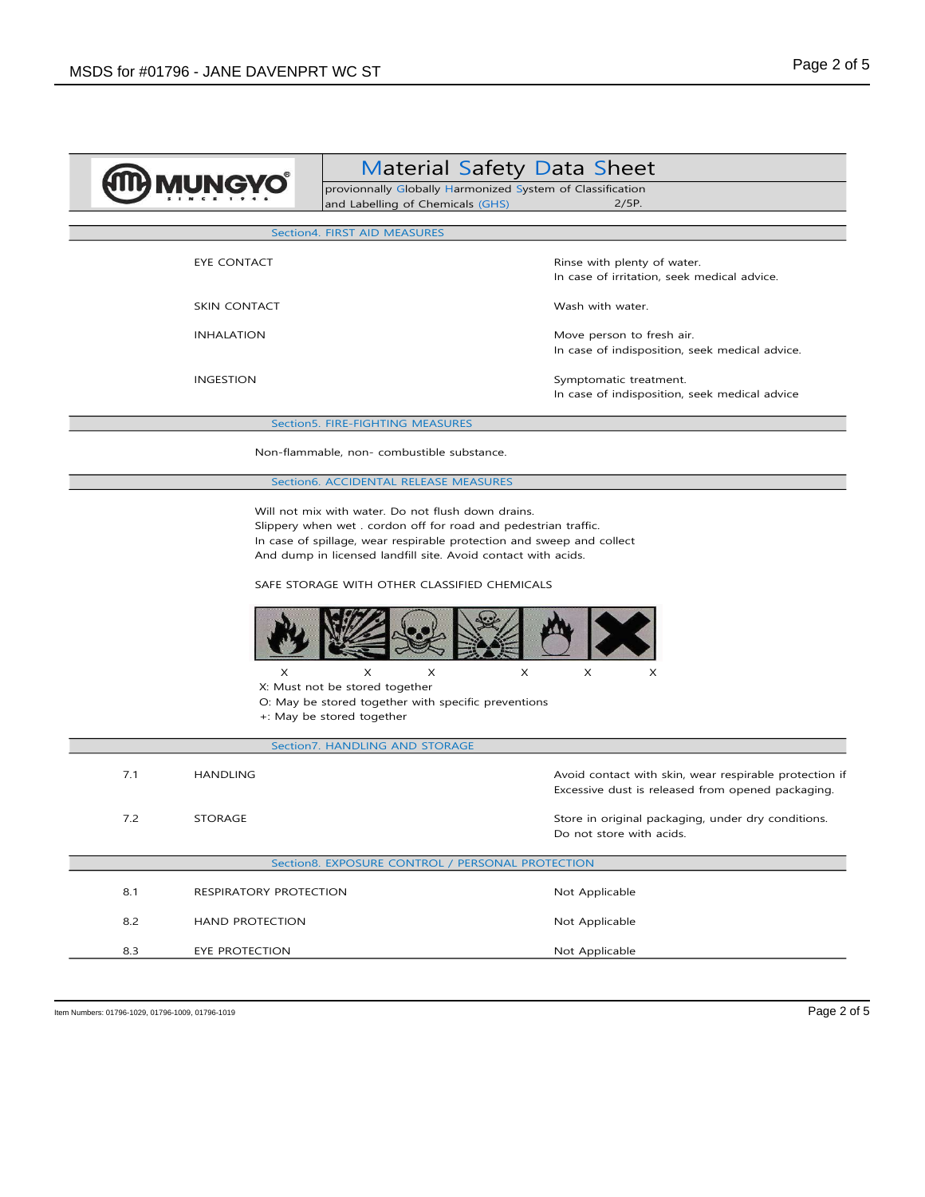|                                                                                                                                                                                                                                                                                                                 | and Labelling of Chemicals (GHS)                                                                                                                               | <b>Material Safety Data Sheet</b><br>provionnally Globally Harmonized System of Classification<br>2/5P. |  |  |
|-----------------------------------------------------------------------------------------------------------------------------------------------------------------------------------------------------------------------------------------------------------------------------------------------------------------|----------------------------------------------------------------------------------------------------------------------------------------------------------------|---------------------------------------------------------------------------------------------------------|--|--|
| Section4. FIRST AID MEASURES                                                                                                                                                                                                                                                                                    |                                                                                                                                                                |                                                                                                         |  |  |
| EYE CONTACT                                                                                                                                                                                                                                                                                                     |                                                                                                                                                                | Rinse with plenty of water.<br>In case of irritation, seek medical advice.                              |  |  |
| <b>SKIN CONTACT</b>                                                                                                                                                                                                                                                                                             |                                                                                                                                                                | Wash with water.                                                                                        |  |  |
| <b>INHALATION</b>                                                                                                                                                                                                                                                                                               |                                                                                                                                                                | Move person to fresh air.<br>In case of indisposition, seek medical advice.                             |  |  |
| <b>INGESTION</b>                                                                                                                                                                                                                                                                                                |                                                                                                                                                                | Symptomatic treatment.<br>In case of indisposition, seek medical advice                                 |  |  |
|                                                                                                                                                                                                                                                                                                                 | Section5. FIRE-FIGHTING MEASURES                                                                                                                               |                                                                                                         |  |  |
|                                                                                                                                                                                                                                                                                                                 | Non-flammable, non- combustible substance.                                                                                                                     |                                                                                                         |  |  |
|                                                                                                                                                                                                                                                                                                                 | Section6. ACCIDENTAL RELEASE MEASURES                                                                                                                          |                                                                                                         |  |  |
| Will not mix with water. Do not flush down drains.<br>Slippery when wet . cordon off for road and pedestrian traffic.<br>In case of spillage, wear respirable protection and sweep and collect<br>And dump in licensed landfill site. Avoid contact with acids.<br>SAFE STORAGE WITH OTHER CLASSIFIED CHEMICALS |                                                                                                                                                                |                                                                                                         |  |  |
| X                                                                                                                                                                                                                                                                                                               | X<br>X<br>X: Must not be stored together<br>O: May be stored together with specific preventions<br>+: May be stored together<br>Section7. HANDLING AND STORAGE | X<br>X<br>X                                                                                             |  |  |
| 7.1<br><b>HANDLING</b>                                                                                                                                                                                                                                                                                          |                                                                                                                                                                | Avoid contact with skin, wear respirable protection if                                                  |  |  |
|                                                                                                                                                                                                                                                                                                                 |                                                                                                                                                                | Excessive dust is released from opened packaging.                                                       |  |  |
| 7.2<br><b>STORAGE</b>                                                                                                                                                                                                                                                                                           |                                                                                                                                                                | Store in original packaging, under dry conditions.<br>Do not store with acids.                          |  |  |
| Section8. EXPOSURE CONTROL / PERSONAL PROTECTION                                                                                                                                                                                                                                                                |                                                                                                                                                                |                                                                                                         |  |  |
| 8.1<br>RESPIRATORY PROTECTION                                                                                                                                                                                                                                                                                   |                                                                                                                                                                | Not Applicable                                                                                          |  |  |
| 8.2<br><b>HAND PROTECTION</b>                                                                                                                                                                                                                                                                                   |                                                                                                                                                                | Not Applicable                                                                                          |  |  |
| 8.3<br>EYE PROTECTION                                                                                                                                                                                                                                                                                           |                                                                                                                                                                | Not Applicable                                                                                          |  |  |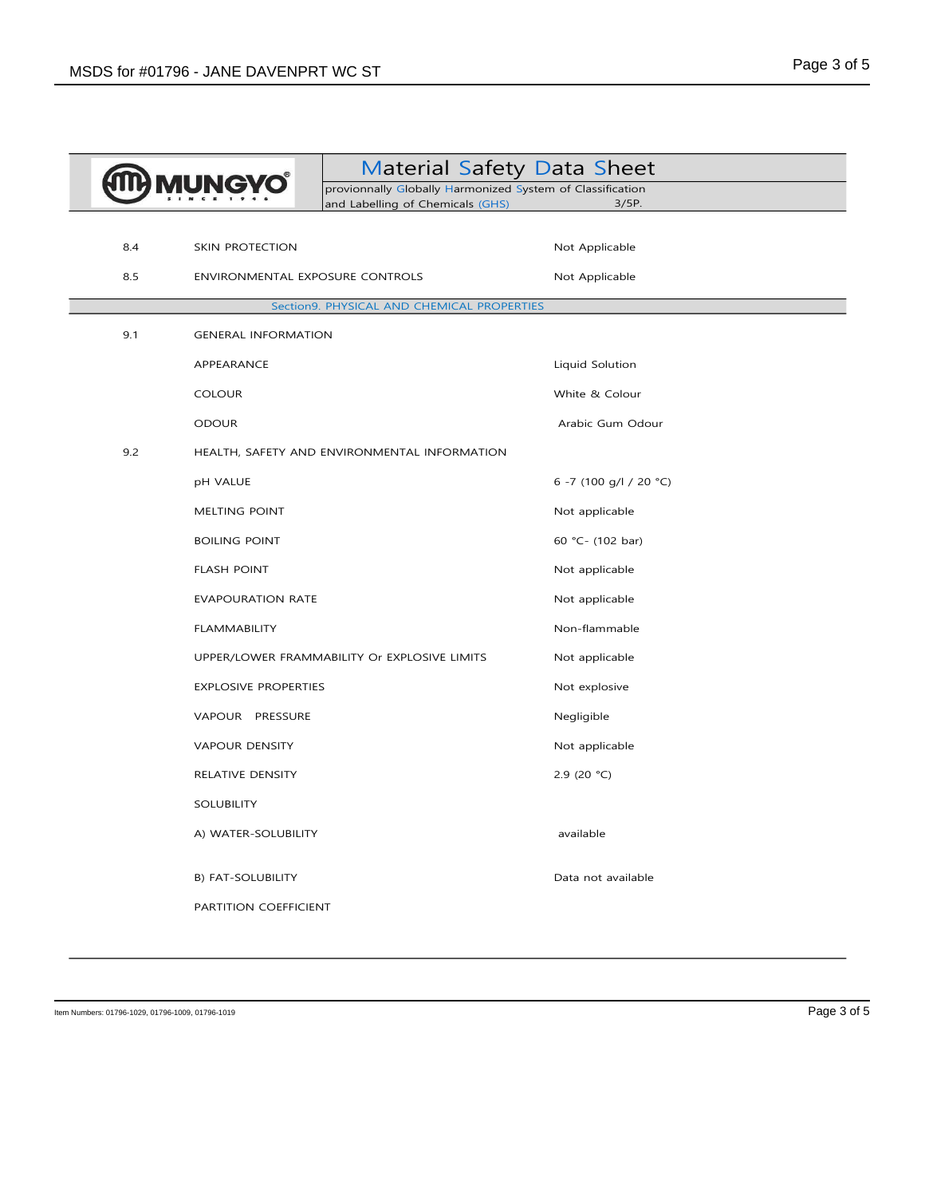| <b>IUNG</b> |                                            | <b>Material Safety Data Sheet</b>                                                             |                        |  |
|-------------|--------------------------------------------|-----------------------------------------------------------------------------------------------|------------------------|--|
|             |                                            | provionnally Globally Harmonized System of Classification<br>and Labelling of Chemicals (GHS) | 3/5P.                  |  |
|             |                                            |                                                                                               |                        |  |
| 8.4         | SKIN PROTECTION                            |                                                                                               | Not Applicable         |  |
| 8.5         | ENVIRONMENTAL EXPOSURE CONTROLS            |                                                                                               | Not Applicable         |  |
|             | Section9. PHYSICAL AND CHEMICAL PROPERTIES |                                                                                               |                        |  |
| 9.1         | <b>GENERAL INFORMATION</b>                 |                                                                                               |                        |  |
|             | APPEARANCE                                 |                                                                                               | Liquid Solution        |  |
|             | <b>COLOUR</b>                              |                                                                                               | White & Colour         |  |
|             | <b>ODOUR</b>                               |                                                                                               | Arabic Gum Odour       |  |
| 9.2         |                                            | HEALTH, SAFETY AND ENVIRONMENTAL INFORMATION                                                  |                        |  |
|             | <b>pH VALUE</b>                            |                                                                                               | 6 -7 (100 g/l / 20 °C) |  |
|             | MELTING POINT                              |                                                                                               | Not applicable         |  |
|             | <b>BOILING POINT</b>                       |                                                                                               | 60 °C- (102 bar)       |  |
|             | <b>FLASH POINT</b>                         |                                                                                               | Not applicable         |  |
|             | <b>EVAPOURATION RATE</b>                   |                                                                                               | Not applicable         |  |
|             | <b>FLAMMABILITY</b>                        |                                                                                               | Non-flammable          |  |
|             |                                            | UPPER/LOWER FRAMMABILITY Or EXPLOSIVE LIMITS                                                  | Not applicable         |  |
|             | <b>EXPLOSIVE PROPERTIES</b>                |                                                                                               | Not explosive          |  |
|             | VAPOUR PRESSURE                            |                                                                                               | Negligible             |  |
|             | <b>VAPOUR DENSITY</b>                      |                                                                                               | Not applicable         |  |
|             | RELATIVE DENSITY                           |                                                                                               | 2.9 (20 $°C$ )         |  |
|             | <b>SOLUBILITY</b>                          |                                                                                               |                        |  |
|             | A) WATER-SOLUBILITY                        |                                                                                               | available              |  |
|             |                                            |                                                                                               |                        |  |
|             | B) FAT-SOLUBILITY                          |                                                                                               | Data not available     |  |
|             | PARTITION COEFFICIENT                      |                                                                                               |                        |  |

Item Numbers: 01796-1029, 01796-1009, 01796-1019 Page 3 of 5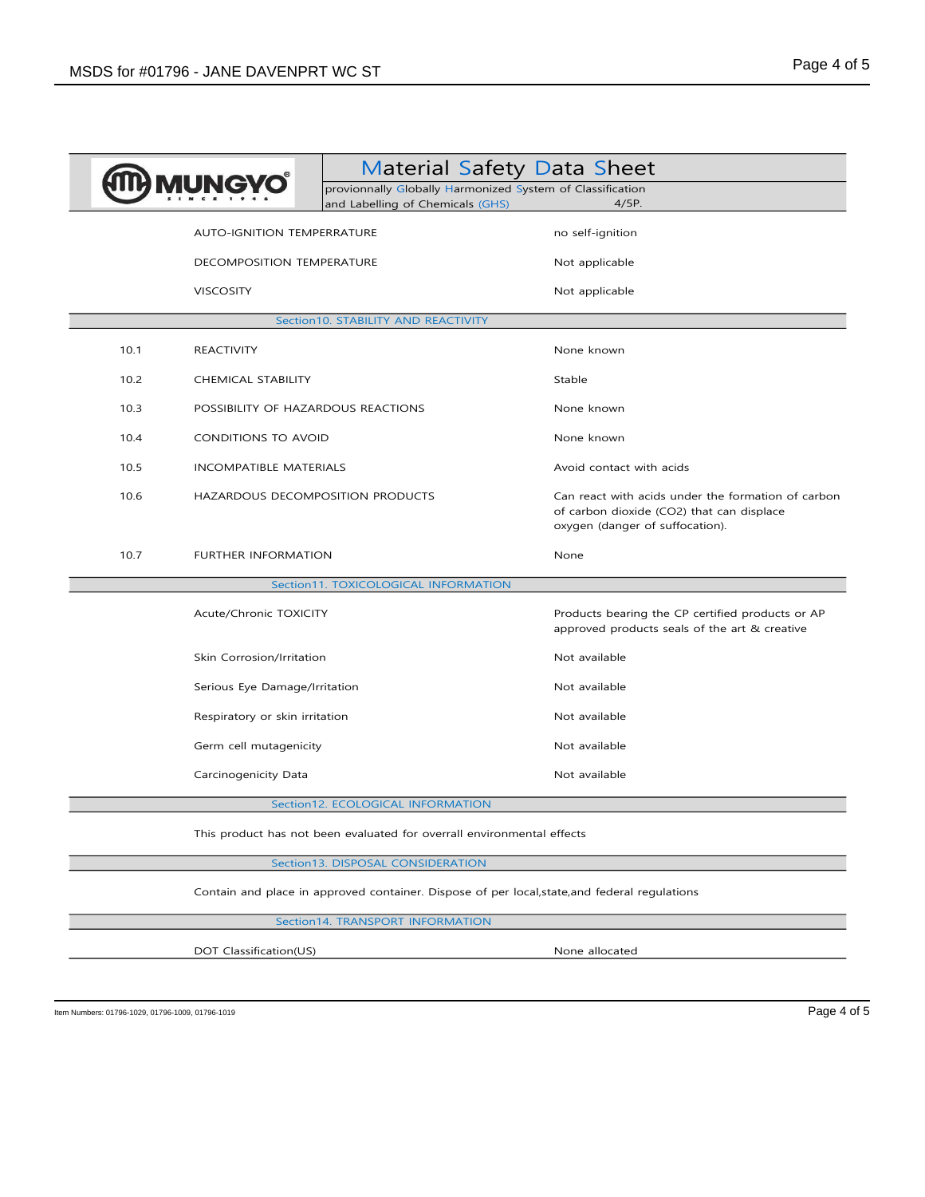|      |                                                                                               | <b>Material Safety Data Sheet</b><br>provionnally Globally Harmonized System of Classification<br>and Labelling of Chemicals (GHS) | $4/5P$ .                                                                                                                           |  |  |
|------|-----------------------------------------------------------------------------------------------|------------------------------------------------------------------------------------------------------------------------------------|------------------------------------------------------------------------------------------------------------------------------------|--|--|
|      | AUTO-IGNITION TEMPERRATURE                                                                    |                                                                                                                                    | no self-ignition                                                                                                                   |  |  |
|      | DECOMPOSITION TEMPERATURE                                                                     |                                                                                                                                    | Not applicable                                                                                                                     |  |  |
|      | <b>VISCOSITY</b>                                                                              |                                                                                                                                    | Not applicable                                                                                                                     |  |  |
|      | Section10. STABILITY AND REACTIVITY                                                           |                                                                                                                                    |                                                                                                                                    |  |  |
| 10.1 | <b>REACTIVITY</b>                                                                             |                                                                                                                                    | None known                                                                                                                         |  |  |
| 10.2 | <b>CHEMICAL STABILITY</b>                                                                     |                                                                                                                                    | Stable                                                                                                                             |  |  |
| 10.3 | POSSIBILITY OF HAZARDOUS REACTIONS                                                            |                                                                                                                                    | None known                                                                                                                         |  |  |
| 10.4 | CONDITIONS TO AVOID                                                                           |                                                                                                                                    | None known                                                                                                                         |  |  |
| 10.5 | INCOMPATIBLE MATERIALS                                                                        |                                                                                                                                    | Avoid contact with acids                                                                                                           |  |  |
| 10.6 | HAZARDOUS DECOMPOSITION PRODUCTS                                                              |                                                                                                                                    | Can react with acids under the formation of carbon<br>of carbon dioxide (CO2) that can displace<br>oxygen (danger of suffocation). |  |  |
| 10.7 | <b>FURTHER INFORMATION</b>                                                                    |                                                                                                                                    | None                                                                                                                               |  |  |
|      |                                                                                               | Section11. TOXICOLOGICAL INFORMATION                                                                                               |                                                                                                                                    |  |  |
|      | Acute/Chronic TOXICITY                                                                        |                                                                                                                                    | Products bearing the CP certified products or AP<br>approved products seals of the art & creative                                  |  |  |
|      | Skin Corrosion/Irritation                                                                     |                                                                                                                                    | Not available                                                                                                                      |  |  |
|      | Serious Eye Damage/Irritation                                                                 |                                                                                                                                    | Not available                                                                                                                      |  |  |
|      | Respiratory or skin irritation                                                                |                                                                                                                                    | Not available                                                                                                                      |  |  |
|      | Germ cell mutagenicity                                                                        |                                                                                                                                    | Not available                                                                                                                      |  |  |
|      | Carcinogenicity Data                                                                          |                                                                                                                                    | Not available                                                                                                                      |  |  |
|      | Section12. ECOLOGICAL INFORMATION                                                             |                                                                                                                                    |                                                                                                                                    |  |  |
|      | This product has not been evaluated for overrall environmental effects                        |                                                                                                                                    |                                                                                                                                    |  |  |
|      | Section13. DISPOSAL CONSIDERATION                                                             |                                                                                                                                    |                                                                                                                                    |  |  |
|      | Contain and place in approved container. Dispose of per local, state, and federal regulations |                                                                                                                                    |                                                                                                                                    |  |  |
|      |                                                                                               | Section14. TRANSPORT INFORMATION                                                                                                   |                                                                                                                                    |  |  |
|      | DOT Classification(US)                                                                        |                                                                                                                                    | None allocated                                                                                                                     |  |  |

Item Numbers: 01796-1029, 01796-1009, 01796-1019  $P$ age 4 of 5